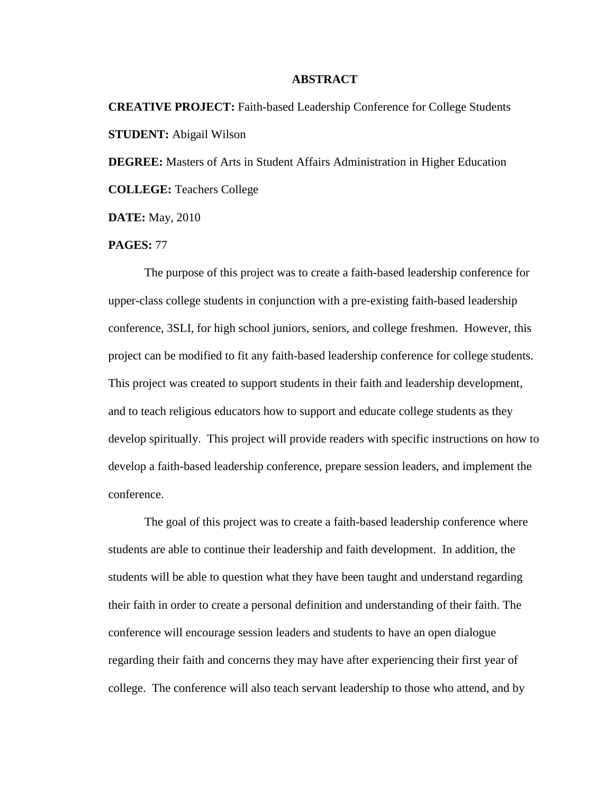## **ABSTRACT**

**CREATIVE PROJECT:** Faith-based Leadership Conference for College Students **STUDENT:** Abigail Wilson

**DEGREE:** Masters of Arts in Student Affairs Administration in Higher Education

**COLLEGE:** Teachers College

**DATE:** May, 2010

## **PAGES:** 77

The purpose of this project was to create a faith-based leadership conference for upper-class college students in conjunction with a pre-existing faith-based leadership conference, 3SLI, for high school juniors, seniors, and college freshmen. However, this project can be modified to fit any faith-based leadership conference for college students. This project was created to support students in their faith and leadership development, and to teach religious educators how to support and educate college students as they develop spiritually. This project will provide readers with specific instructions on how to develop a faith-based leadership conference, prepare session leaders, and implement the conference.

The goal of this project was to create a faith-based leadership conference where students are able to continue their leadership and faith development. In addition, the students will be able to question what they have been taught and understand regarding their faith in order to create a personal definition and understanding of their faith. The conference will encourage session leaders and students to have an open dialogue regarding their faith and concerns they may have after experiencing their first year of college. The conference will also teach servant leadership to those who attend, and by